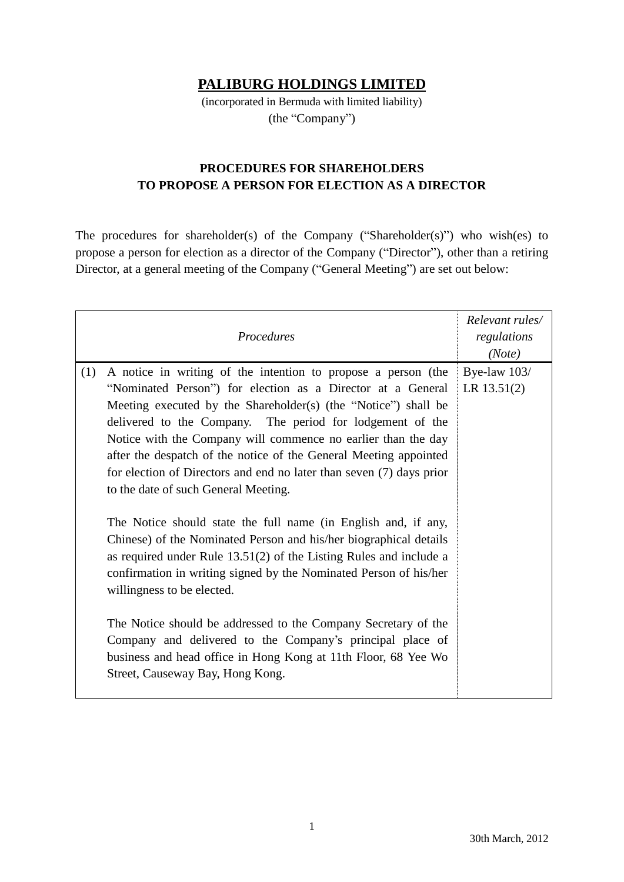## **PALIBURG HOLDINGS LIMITED**

(incorporated in Bermuda with limited liability) (the "Company")

## **PROCEDURES FOR SHAREHOLDERS TO PROPOSE A PERSON FOR ELECTION AS A DIRECTOR**

The procedures for shareholder(s) of the Company ("Shareholder(s)") who wish(es) to propose a person for election as a director of the Company ("Director"), other than a retiring Director, at a general meeting of the Company ("General Meeting") are set out below:

| Procedures                                                                                                                                                                                                                                                                                                                                                                                                                                                                                                                                                                                                                                                                                                                                                                                                                                                                                                                                                                                                                                                                      | Relevant rules/<br>regulations<br>(Note) |
|---------------------------------------------------------------------------------------------------------------------------------------------------------------------------------------------------------------------------------------------------------------------------------------------------------------------------------------------------------------------------------------------------------------------------------------------------------------------------------------------------------------------------------------------------------------------------------------------------------------------------------------------------------------------------------------------------------------------------------------------------------------------------------------------------------------------------------------------------------------------------------------------------------------------------------------------------------------------------------------------------------------------------------------------------------------------------------|------------------------------------------|
| (1)<br>A notice in writing of the intention to propose a person (the<br>"Nominated Person") for election as a Director at a General<br>Meeting executed by the Shareholder(s) (the "Notice") shall be<br>delivered to the Company. The period for lodgement of the<br>Notice with the Company will commence no earlier than the day<br>after the despatch of the notice of the General Meeting appointed<br>for election of Directors and end no later than seven (7) days prior<br>to the date of such General Meeting.<br>The Notice should state the full name (in English and, if any,<br>Chinese) of the Nominated Person and his/her biographical details<br>as required under Rule $13.51(2)$ of the Listing Rules and include a<br>confirmation in writing signed by the Nominated Person of his/her<br>willingness to be elected.<br>The Notice should be addressed to the Company Secretary of the<br>Company and delivered to the Company's principal place of<br>business and head office in Hong Kong at 11th Floor, 68 Yee Wo<br>Street, Causeway Bay, Hong Kong. | Bye-law 103/<br>LR $13.51(2)$            |